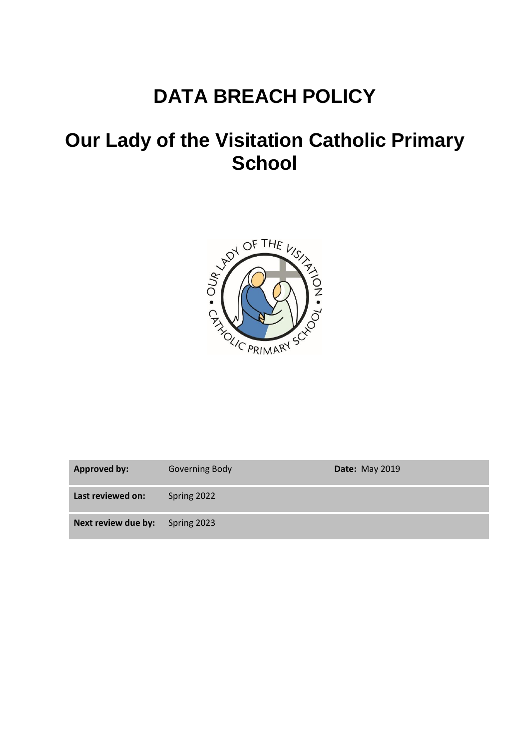# **DATA BREACH POLICY**

## **Our Lady of the Visitation Catholic Primary School**



| <b>Approved by:</b> | <b>Governing Body</b> | <b>Date: May 2019</b> |
|---------------------|-----------------------|-----------------------|
| Last reviewed on:   | Spring 2022           |                       |
| Next review due by: | Spring 2023           |                       |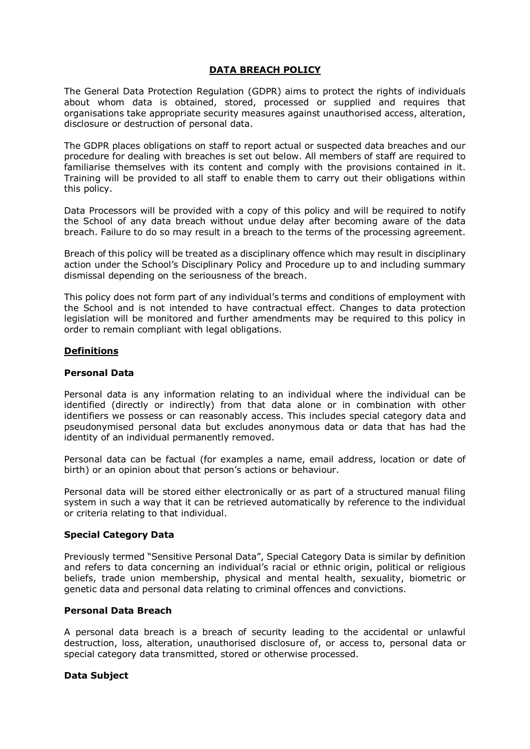## **DATA BREACH POLICY**

The General Data Protection Regulation (GDPR) aims to protect the rights of individuals about whom data is obtained, stored, processed or supplied and requires that organisations take appropriate security measures against unauthorised access, alteration, disclosure or destruction of personal data.

The GDPR places obligations on staff to report actual or suspected data breaches and our procedure for dealing with breaches is set out below. All members of staff are required to familiarise themselves with its content and comply with the provisions contained in it. Training will be provided to all staff to enable them to carry out their obligations within this policy.

Data Processors will be provided with a copy of this policy and will be required to notify the School of any data breach without undue delay after becoming aware of the data breach. Failure to do so may result in a breach to the terms of the processing agreement.

Breach of this policy will be treated as a disciplinary offence which may result in disciplinary action under the School's Disciplinary Policy and Procedure up to and including summary dismissal depending on the seriousness of the breach.

This policy does not form part of any individual's terms and conditions of employment with the School and is not intended to have contractual effect. Changes to data protection legislation will be monitored and further amendments may be required to this policy in order to remain compliant with legal obligations.

## **Definitions**

#### **Personal Data**

Personal data is any information relating to an individual where the individual can be identified (directly or indirectly) from that data alone or in combination with other identifiers we possess or can reasonably access. This includes special category data and pseudonymised personal data but excludes anonymous data or data that has had the identity of an individual permanently removed.

Personal data can be factual (for examples a name, email address, location or date of birth) or an opinion about that person's actions or behaviour.

Personal data will be stored either electronically or as part of a structured manual filing system in such a way that it can be retrieved automatically by reference to the individual or criteria relating to that individual.

#### **Special Category Data**

Previously termed "Sensitive Personal Data", Special Category Data is similar by definition and refers to data concerning an individual's racial or ethnic origin, political or religious beliefs, trade union membership, physical and mental health, sexuality, biometric or genetic data and personal data relating to criminal offences and convictions.

#### **Personal Data Breach**

A personal data breach is a breach of security leading to the accidental or unlawful destruction, loss, alteration, unauthorised disclosure of, or access to, personal data or special category data transmitted, stored or otherwise processed.

#### **Data Subject**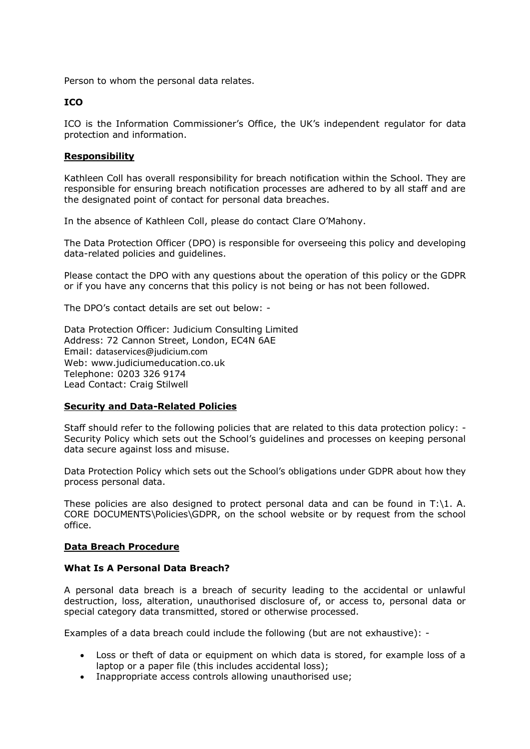Person to whom the personal data relates.

## **ICO**

ICO is the Information Commissioner's Office, the UK's independent regulator for data protection and information.

## **Responsibility**

Kathleen Coll has overall responsibility for breach notification within the School. They are responsible for ensuring breach notification processes are adhered to by all staff and are the designated point of contact for personal data breaches.

In the absence of Kathleen Coll, please do contact Clare O'Mahony.

The Data Protection Officer (DPO) is responsible for overseeing this policy and developing data-related policies and guidelines.

Please contact the DPO with any questions about the operation of this policy or the GDPR or if you have any concerns that this policy is not being or has not been followed.

The DPO's contact details are set out below: -

Data Protection Officer: Judicium Consulting Limited Address: 72 Cannon Street, London, EC4N 6AE Email: [dataservices@judicium.com](mailto:dataservices@judicium.com) Web: www.judiciumeducation.co.uk Telephone: 0203 326 9174 Lead Contact: Craig Stilwell

#### **Security and Data-Related Policies**

Staff should refer to the following policies that are related to this data protection policy: - Security Policy which sets out the School's guidelines and processes on keeping personal data secure against loss and misuse.

Data Protection Policy which sets out the School's obligations under GDPR about how they process personal data.

These policies are also designed to protect personal data and can be found in  $T:\1$ . A. CORE DOCUMENTS\Policies\GDPR, on the school website or by request from the school office.

#### **Data Breach Procedure**

#### **What Is A Personal Data Breach?**

A personal data breach is a breach of security leading to the accidental or unlawful destruction, loss, alteration, unauthorised disclosure of, or access to, personal data or special category data transmitted, stored or otherwise processed.

Examples of a data breach could include the following (but are not exhaustive): -

- Loss or theft of data or equipment on which data is stored, for example loss of a laptop or a paper file (this includes accidental loss);
- Inappropriate access controls allowing unauthorised use;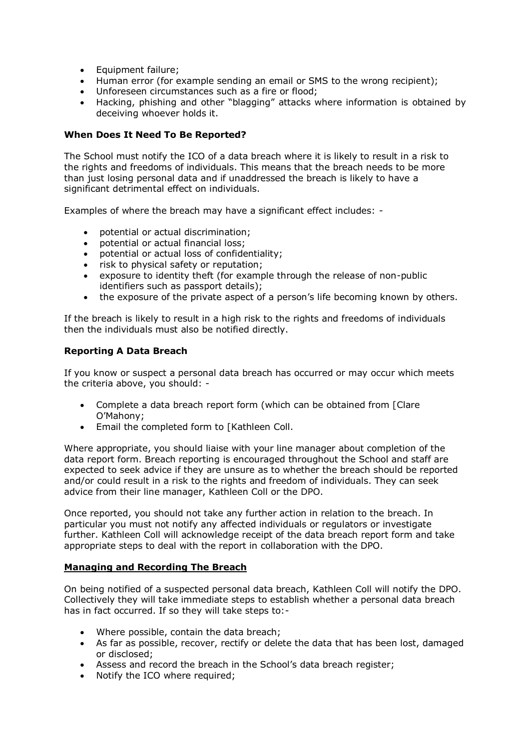- Equipment failure;
- Human error (for example sending an email or SMS to the wrong recipient);
- Unforeseen circumstances such as a fire or flood;
- Hacking, phishing and other "blagging" attacks where information is obtained by deceiving whoever holds it.

## **When Does It Need To Be Reported?**

The School must notify the ICO of a data breach where it is likely to result in a risk to the rights and freedoms of individuals. This means that the breach needs to be more than just losing personal data and if unaddressed the breach is likely to have a significant detrimental effect on individuals.

Examples of where the breach may have a significant effect includes: -

- potential or actual discrimination;
- potential or actual financial loss;
- potential or actual loss of confidentiality;
- risk to physical safety or reputation;
- exposure to identity theft (for example through the release of non-public identifiers such as passport details);
- the exposure of the private aspect of a person's life becoming known by others.

If the breach is likely to result in a high risk to the rights and freedoms of individuals then the individuals must also be notified directly.

## **Reporting A Data Breach**

If you know or suspect a personal data breach has occurred or may occur which meets the criteria above, you should: -

- Complete a data breach report form (which can be obtained from [Clare O'Mahony;
- Email the completed form to [Kathleen Coll.

Where appropriate, you should liaise with your line manager about completion of the data report form. Breach reporting is encouraged throughout the School and staff are expected to seek advice if they are unsure as to whether the breach should be reported and/or could result in a risk to the rights and freedom of individuals. They can seek advice from their line manager, Kathleen Coll or the DPO.

Once reported, you should not take any further action in relation to the breach. In particular you must not notify any affected individuals or regulators or investigate further. Kathleen Coll will acknowledge receipt of the data breach report form and take appropriate steps to deal with the report in collaboration with the DPO.

## **Managing and Recording The Breach**

On being notified of a suspected personal data breach, Kathleen Coll will notify the DPO. Collectively they will take immediate steps to establish whether a personal data breach has in fact occurred. If so they will take steps to:-

- Where possible, contain the data breach;
- As far as possible, recover, rectify or delete the data that has been lost, damaged or disclosed;
- Assess and record the breach in the School's data breach register;
- Notify the ICO where required;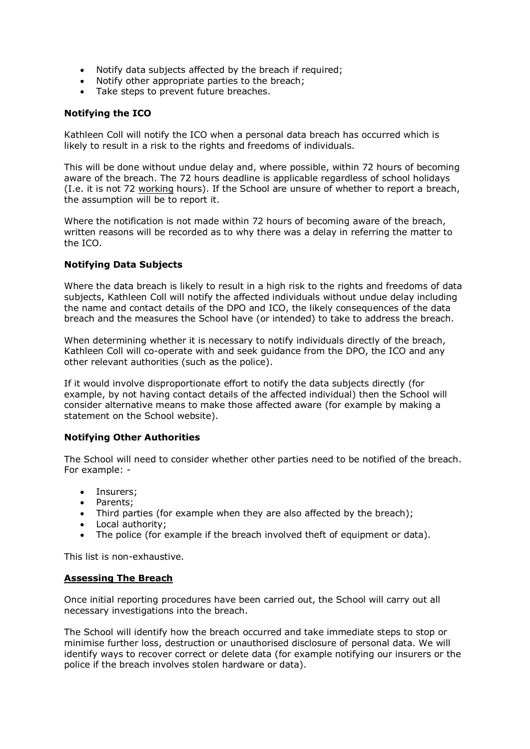- Notify data subjects affected by the breach if required;
- Notify other appropriate parties to the breach;
- Take steps to prevent future breaches.

## **Notifying the ICO**

Kathleen Coll will notify the ICO when a personal data breach has occurred which is likely to result in a risk to the rights and freedoms of individuals.

This will be done without undue delay and, where possible, within 72 hours of becoming aware of the breach. The 72 hours deadline is applicable regardless of school holidays (I.e. it is not 72 working hours). If the School are unsure of whether to report a breach, the assumption will be to report it.

Where the notification is not made within 72 hours of becoming aware of the breach, written reasons will be recorded as to why there was a delay in referring the matter to the ICO.

## **Notifying Data Subjects**

Where the data breach is likely to result in a high risk to the rights and freedoms of data subjects, Kathleen Coll will notify the affected individuals without undue delay including the name and contact details of the DPO and ICO, the likely consequences of the data breach and the measures the School have (or intended) to take to address the breach.

When determining whether it is necessary to notify individuals directly of the breach, Kathleen Coll will co-operate with and seek guidance from the DPO, the ICO and any other relevant authorities (such as the police).

If it would involve disproportionate effort to notify the data subjects directly (for example, by not having contact details of the affected individual) then the School will consider alternative means to make those affected aware (for example by making a statement on the School website).

#### **Notifying Other Authorities**

The School will need to consider whether other parties need to be notified of the breach. For example: -

- Insurers;
- Parents:
- Third parties (for example when they are also affected by the breach);
- Local authority:
- The police (for example if the breach involved theft of equipment or data).

This list is non-exhaustive.

#### **Assessing The Breach**

Once initial reporting procedures have been carried out, the School will carry out all necessary investigations into the breach.

The School will identify how the breach occurred and take immediate steps to stop or minimise further loss, destruction or unauthorised disclosure of personal data. We will identify ways to recover correct or delete data (for example notifying our insurers or the police if the breach involves stolen hardware or data).